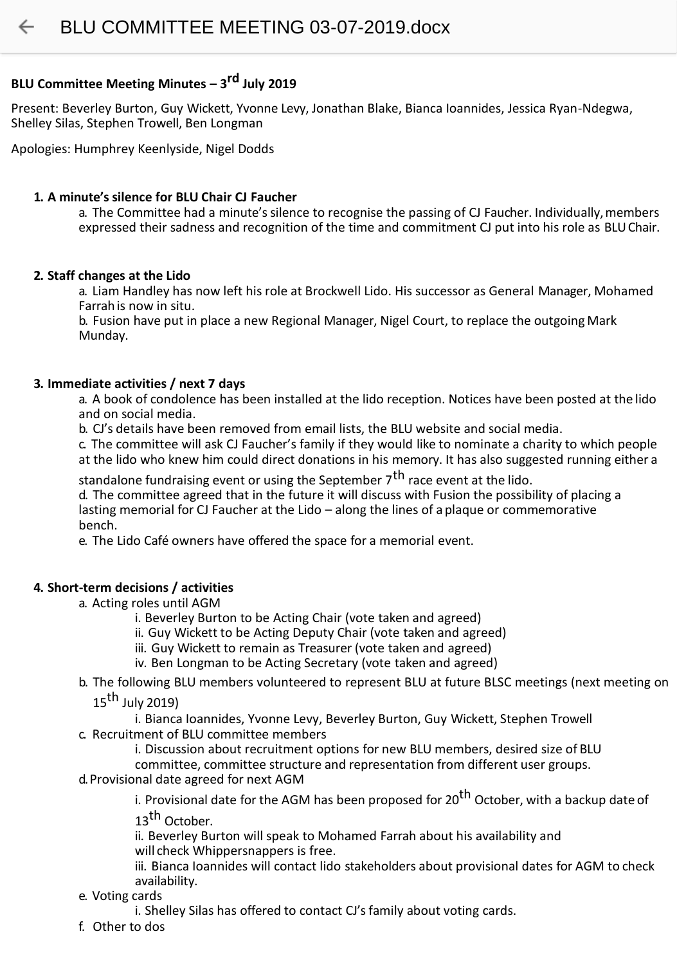# **BLU Committee Meeting Minutes – 3 rd July 2019**

Present: Beverley Burton, Guy Wickett, Yvonne Levy, Jonathan Blake, Bianca Ioannides, Jessica Ryan-Ndegwa, Shelley Silas, Stephen Trowell, Ben Longman

Apologies: Humphrey Keenlyside, Nigel Dodds

# **1. A minute's silence for BLU Chair CJ Faucher**

a. The Committee had a minute's silence to recognise the passing of CJ Faucher. Individually, members expressed their sadness and recognition of the time and commitment CJ put into his role as BLUChair.

# **2. Staff changes at the Lido**

a. Liam Handley has now left his role at Brockwell Lido. His successor as General Manager, Mohamed Farrahis now in situ.

b. Fusion have put in place a new Regional Manager, Nigel Court, to replace the outgoing Mark Munday.

### **3. Immediate activities / next 7 days**

a. A book of condolence has been installed at the lido reception. Notices have been posted at the lido and on social media.

b. CJ's details have been removed from email lists, the BLU website and social media.

c. The committee will ask CJ Faucher's family if they would like to nominate a charity to which people at the lido who knew him could direct donations in his memory. It has also suggested running either a

standalone fundraising event or using the September 7<sup>th</sup> race event at the lido.

d. The committee agreed that in the future it will discuss with Fusion the possibility of placing a lasting memorial for CJ Faucher at the Lido – along the lines of a plaque or commemorative bench.

e. The Lido Café owners have offered the space for a memorial event.

# **4. Short-term decisions / activities**

- a. Acting roles until AGM
	- i. Beverley Burton to be Acting Chair (vote taken and agreed)
	- ii. Guy Wickett to be Acting Deputy Chair (vote taken and agreed)
	- iii. Guy Wickett to remain as Treasurer (vote taken and agreed)
	- iv. Ben Longman to be Acting Secretary (vote taken and agreed)
- b. The following BLU members volunteered to represent BLU at future BLSC meetings (next meeting on
	- $15<sup>th</sup>$  July 2019)

i. Bianca Ioannides, Yvonne Levy, Beverley Burton, Guy Wickett, Stephen Trowell c. Recruitment of BLU committee members

i. Discussion about recruitment options for new BLU members, desired size of BLU

committee, committee structure and representation from different user groups.

d.Provisional date agreed for next AGM

i. Provisional date for the AGM has been proposed for 20<sup>th</sup> October, with a backup date of

13<sup>th</sup> October.

ii. Beverley Burton will speak to Mohamed Farrah about his availability and will check Whippersnappers is free.

iii. Bianca Ioannides will contact lido stakeholders about provisional dates for AGM to check availability.

e. Voting cards

i. Shelley Silas has offered to contact CJ's family about voting cards.

f. Other to dos